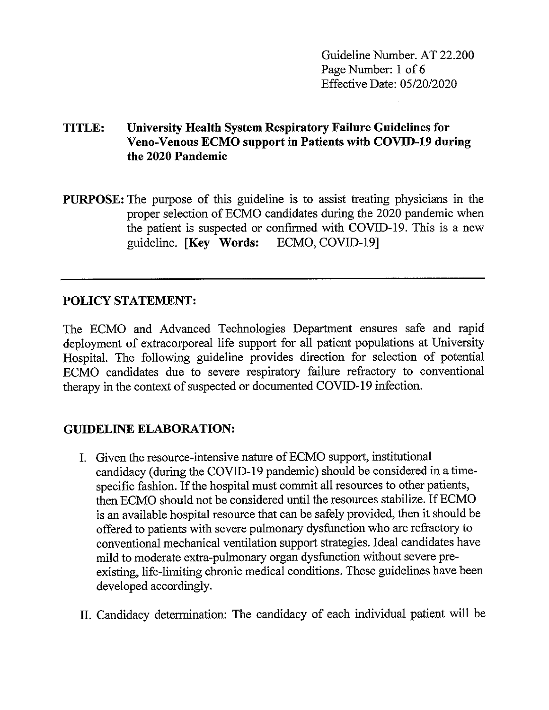Guideline Number. AT 22.200 Page Number: 1 of 6 Effective Date: 05/20/2020

# **TITLE: University Health System Respiratory Failure Guidelines for Veno-Venous ECMO support in Patients with COVID-19 during the 2020 Pandemic**

**PURPOSE:** The purpose of this guideline is to assist treating physicians in the proper selection of ECMO candidates during the 2020 pandemic when the patient is suspected or confirmed with COVID-19. This is a new guideline. **[Key Words:** ECMO, COVlD-19]

# **POLICY STATEMENT:**

The ECMO and Advanced Technologies Department ensures safe and rapid deployment of extracorporeal life support for all patient populations at University Hospital. The following guideline provides direction for selection of potential ECMO candidates due to severe respiratory failure refractory to conventional therapy in the context of suspected or documented COVlD-19 infection.

## **GUIDELINE ELABORATION:**

- I. Given the resource-intensive nature of ECMO support, institutional candidacy ( during the COVID-19 pandemic) should be considered in a timespecific fashion. If the hospital must commit all resources to other patients, then ECMO should not be considered until the resources stabilize. If ECMO is an available hospital resource that can be safely provided, then it should be offered to patients with severe pulmonary dysfunction who are refractory to conventional mechanical ventilation support strategies. Ideal candidates have mild to moderate extra-pulmonary organ dysfunction without severe preexisting, life-limiting chronic medical conditions. These guidelines have been developed accordingly.
- II. Candidacy determination: The candidacy of each individual patient will be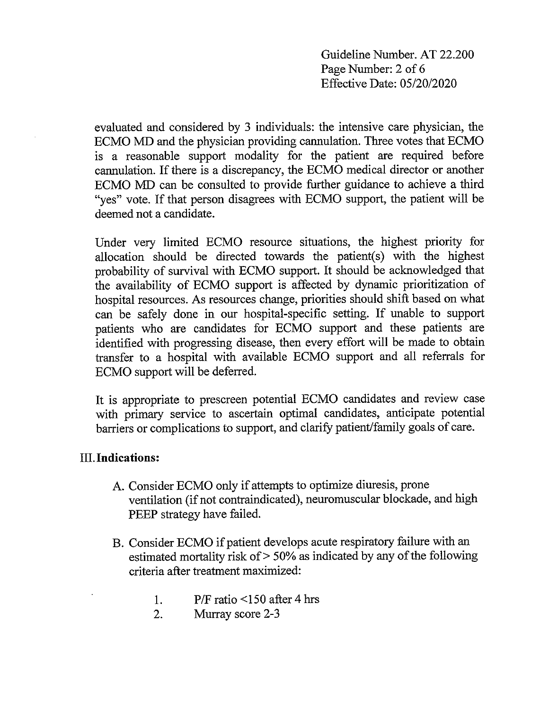Guideline Number. AT 22.200 Page Number: 2 of 6 Effective Date: 05/20/2020

evaluated and considered by 3 individuals: the intensive care physician, the ECMO MD and the physician providing cannulation. Three votes that ECMO is a reasonable support modality for the patient are required before cannulation. If there is a discrepancy, the ECMO medical director or another ECMO MD can be consulted to provide further guidance to achieve a third "yes" vote. If that person disagrees with ECMO support, the patient will be deemed not a candidate.

Under very limited ECMO resource situations, the highest priority for allocation should be directed towards the patient(s) with the highest probability of survival with ECMO support. It should be acknowledged that the availability of ECMO support is affected by dynamic prioritization of hospital resources. As resources change, priorities should shift based on what can be safely done in our hospital-specific setting. If unable to support patients who are candidates for ECMO support and these patients are identified with progressing disease, then every effort will be made to obtain transfer to a hospital with available ECMO support and all referrals for ECMO support will be deferred.

It is appropriate to prescreen potential ECMO candidates and review case with primary service to ascertain optimal candidates, anticipate potential barriers or complications to support, and clarify patient/family goals of care.

## **III.Indications:**

- A. Consider ECMO only if attempts to optimize diuresis, prone ventilation (if not contraindicated), neuromuscular blockade, and high PEEP strategy have failed.
- B. Consider ECMO if patient develops acute respiratory failure with an estimated mortality risk of> 50% as indicated by any of the following criteria after treatment maximized:
	- 1. P/F ratio <150 after 4 hrs
	- 2. Murray score 2-3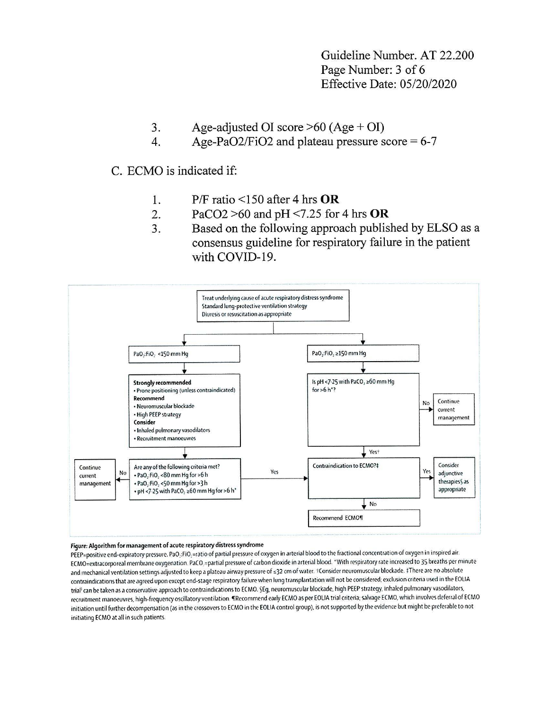Guideline Number, AT 22.200 Page Number: 3 of 6 **Effective Date: 05/20/2020** 

- Age-adjusted OI score  $>60$  (Age + OI) 3.
- Age-PaO2/FiO2 and plateau pressure score =  $6-7$  $\overline{4}$ .

C. ECMO is indicated if:

- $P/F$  ratio <150 after 4 hrs OR 1.
- PaCO2  $>60$  and pH <7.25 for 4 hrs OR  $\overline{2}$ .
- $\overline{3}$ . Based on the following approach published by ELSO as a consensus guideline for respiratory failure in the patient with COVID-19.



#### Figure: Algorithm for management of acute respiratory distress syndrome

PEEP=positive end-expiratory pressure. PaO<sub>:</sub>:FiO<sub>:</sub>=ratio of partial pressure of oxygen in arterial blood to the fractional concentration of oxygen in inspired air. ECMO=extracorporeal membrane oxygenation. PaCO =partial pressure of carbon dioxide in arterial blood. \*With respiratory rate increased to 35 breaths per minute and mechanical ventilation settings adjusted to keep a plateau airway pressure of ≤32 cm of water. +Consider neuromuscular blockade. ‡There are no absolute contraindications that are agreed upon except end-stage respiratory failure when lung transplantation will not be considered; exclusion criteria used in the EOLIA trial<sup>:</sup> can be taken as a conservative approach to contraindications to ECMO. SEg, neuromuscular blockade, high PEEP strategy, inhaled pulmonary vasodilators, recruitment manoeuvres, high-frequency oscillatory ventilation. TRecommend early ECMO as per EOLIA trial criteria; salvage ECMO, which involves deferral of ECMO initiation until further decompensation (as in the crossovers to ECMO in the EOLIA control group), is not supported by the evidence but might be preferable to not initiating ECMO at all in such patients.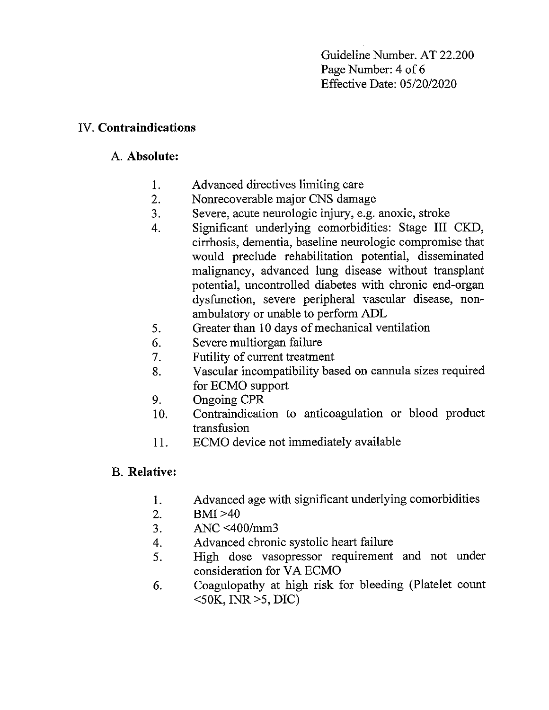Guideline Number. AT 22.200 Page Number: 4 of 6 Effective Date: 05/20/2020

## IV. **Contraindications**

# A. **Absolute:**

- 1. Advanced directives limiting care
- 2. Nonrecoverable major CNS damage
- 3. Severe, acute neurologic injury, e.g. anoxic, stroke
- 4. Significant underlying comorbidities: Stage III CKD, cirrhosis, dementia, baseline neurologic compromise that would preclude rehabilitation potential, disseminated malignancy, advanced lung disease without transplant potential, uncontrolled diabetes with chronic end-organ dysfunction, severe peripheral vascular disease, nonambulatory or unable to perform ADL
- 5. Greater than 10 days of mechanical ventilation
- 6. Severe multiorgan failure
- 7. Futility of current treatment
- 8. Vascular incompatibility based on cannula sizes required for ECMO support
- 9. Ongoing CPR
- 10. Contraindication to anticoagulation or blood product transfusion
- 11. ECMO device not immediately available

# B. **Relative:**

- 1. Advanced age with significant underlying comorbidities
- 2. BMl>40
- 3. ANC <400/mm3
- 4. Advanced chronic systolic heart failure
- 5. High dose vasopressor requirement and not under consideration for VA ECMO
- 6. Coagulopathy at high risk for bleeding (Platelet count  $\leq$ 50K, INR $\geq$ 5, DIC)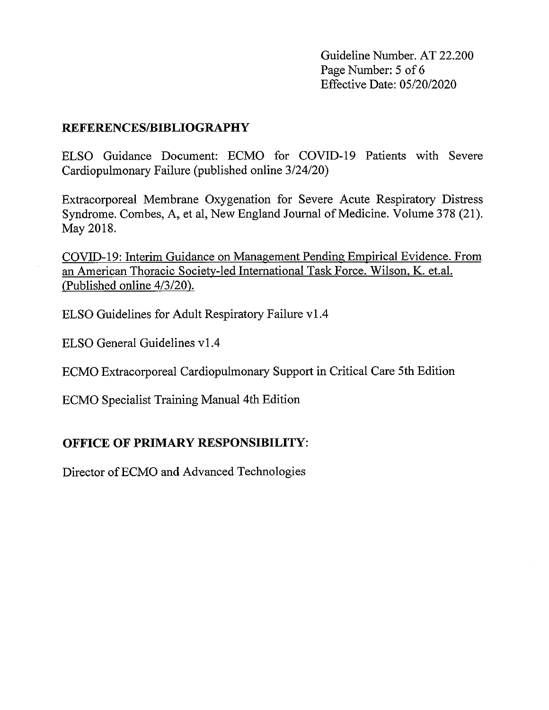Guideline Number. AT 22.200 Page Number: 5 of 6 Effective Date: 05/20/2020

#### **REFERENCES/BIBLIOGRAPHY**

ELSO Guidance Document: ECMO for COVID-19 Patients with Severe Cardiopulmonary Failure (published online 3/24/20)

Extracorporeal Membrane Oxygenation for Severe Acute Respiratory Distress Syndrome. Combes, A, et al, New England Journal of Medicine. Volume 378 (21). May 2018.

COVID-19: Interim Guidance on Management Pending Empirical Evidence. From an American Thoracic Society-led International Task Force. Wilson, K. et.al. (Published online 4/3/20).

ELSO Guidelines for Adult Respiratory Failure vl.4

ELSO General Guidelines vl .4

ECMO Extracorporeal Cardiopulmonary Support in Critical Care 5th Edition

ECMO Specialist Training Manual 4th Edition

# **OFFICE OF PRIMARY RESPONSIBILITY:**

Director of ECMO and Advanced Technologies